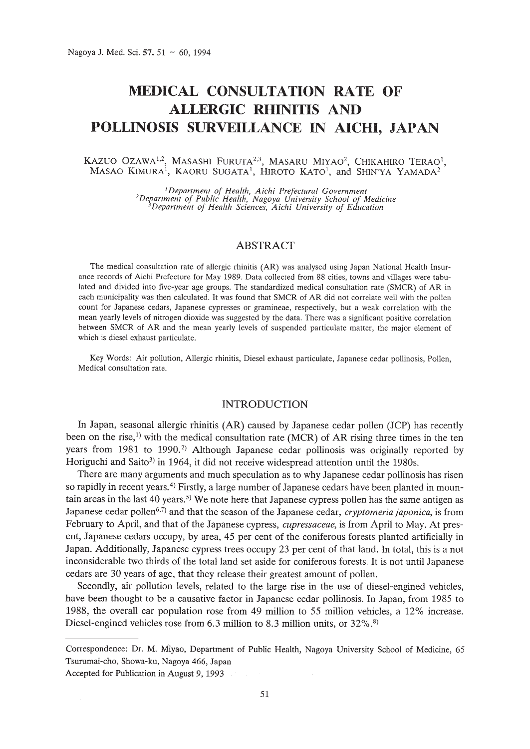# **MEDICAL CONSULTATION RATE OF ALLERGIC RHINITIS AND POLLINOSIS SURVEILLANCE IN AICHI, JAPAN**

### KAZUO OZAWA<sup>1,2</sup>, MASASHI FURUTA<sup>2,3</sup>, MASARU MIYAO<sup>2</sup>, CHIKAHIRO TERAO<sup>1</sup>,  $\mathsf{MASAO}\;$ KIMURA $^1\!,\;\mathsf{KAORU}\;$ SUGATA $^1\!,\;\mathsf{HIROTO}\;$ KATO $^1\!,\;$  and SHIN'YA <code>YAMADA $^2$ </code>

<sup>1</sup>Department of Health, Aichi Prefectural Government<br><sup>2</sup>Department of Public Health, Nagoya University School of Medicine<sup>3</sup><br>19 Department of Health Sciences, Aichi University of Education<sup>3</sup>

# *ABSTRACT*

The medical consultation rate of allergic rhinitis (AR) was analysed using Japan National Health Insurance records of Aichi Prefecture for May 1989. Data collected from 88 cities, towns and villages were tabulated and divided into five-year age groups. The standardized medical consultation rate (SMCR) of AR in each municipality was then calculated. It was found that SMCR of AR did not correlate well with the pollen count for Japanese cedars, Japanese cypresses or gramineae, respectively, but a weak correlation with the mean yearly levels of nitrogen dioxide was suggested by the data. There was a significant positive correlation between SMCR of AR and the mean yearly levels of suspended particulate matter, the major element of which is diesel exhaust particulate.

Key Words: Air pollution, Allergic rhinitis, Diesel exhaust particulate, Japanese cedar pollinosis, Pollen, Medical consultation rate.

## INTRODUCTION

In Japan, seasonal allergic rhinitis (AR) caused by Japanese cedar pollen (JCP) has recently been on the rise, <sup>1)</sup> with the medical consultation rate (MCR) of AR rising three times in the ten years from 1981 to 1990.<sup>2)</sup> Although Japanese cedar pollinosis was originally reported by Horiguchi and Saito<sup>3)</sup> in 1964, it did not receive widespread attention until the 1980s.

There are many arguments and much speculation as to why Japanese cedar pollinosis has risen so rapidly in recent years.<sup>4)</sup> Firstly, a large number of Japanese cedars have been planted in mountain areas in the last 40 years.<sup>5)</sup> We note here that Japanese cypress pollen has the same antigen as Japanese cedar pollen<sup>6,7)</sup> and that the season of the Japanese cedar, *cryptomeria japonica*, is from February to April, and that of the Japanese cypress, *cupressaceae,* is from April to May. At present, Japanese cedars occupy, by area, 45 per cent of the coniferous forests planted artificially in Japan. Additionally, Japanese cypress trees occupy 23 per cent of that land. In total, this is a not inconsiderable two thirds of the total land set aside for coniferous forests. It is not until Japanese cedars are 30 years of age, that they release their greatest amount of pollen.

Secondly, air pollution levels, related to the large rise in the use of diesel-engined vehicles, have been thought to be a causative factor in Japanese cedar pollinosis. In Japan, from 1985 to 1988, the overall car population rose from 49 million to 55 million vehicles, a 12% increase. Diesel-engined vehicles rose from  $6.3$  million to  $8.3$  million units, or  $32\%$ <sup>8)</sup>

Correspondence: Dr. M. Miyao, Department of Public Health, Nagoya University School of Medicine, 65 Tsurumai-cho, Showa-ku, Nagoya 466, Japan

Accepted for Publication in August 9, 1993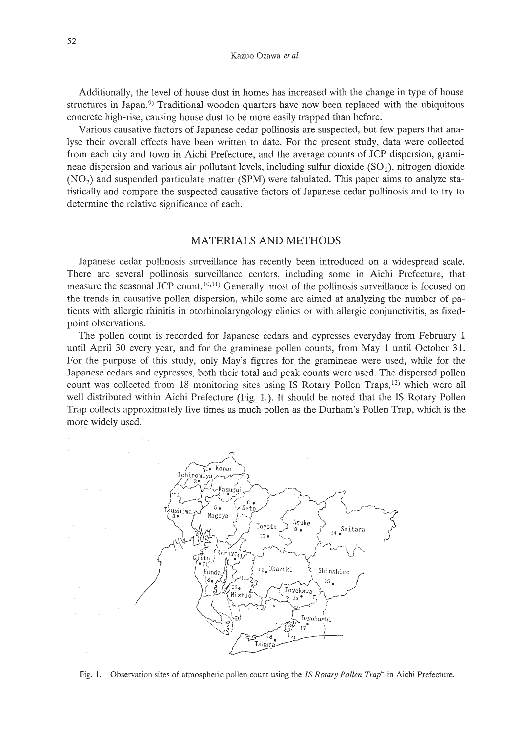Additionally, the level of house dust in homes has increased with the change in type of house structures in Japan.<sup>9)</sup> Traditional wooden quarters have now been replaced with the ubiquitous concrete high-rise, causing house dust to be more easily trapped than before.

Various causative factors of Japanese cedar pollinosis are suspected, but few papers that analyse their overall effects have been written to date. For the present study, data were collected from each city and town in Aichi Prefecture, and the average counts of JCP dispersion, gramineae dispersion and various air pollutant levels, including sulfur dioxide  $(SO<sub>2</sub>)$ , nitrogen dioxide (N02) and suspended particulate matter (SPM) were tabulated. This paper aims to analyze statistically and compare the suspected causative factors of Japanese cedar pollinosis and to try to determine the relative significance of each.

## MATERIALS AND METHODS

Japanese cedar pollinosis surveillance has recently been introduced on a widespread scale. There are several pollinosis surveillance centers, including some in Aichi Prefecture, that measure the seasonal JCP count.<sup>10,11)</sup> Generally, most of the pollinosis surveillance is focused on the trends in causative pollen dispersion, while some are aimed at analyzing the number of patients with allergic rhinitis in otorhinolaryngology clinics or with allergic conjunctivitis, as fixedpoint observations.

The pollen count is recorded for Japanese cedars and cypresses everyday from February 1 until April 30 every year, and for the gramineae pollen counts, from May 1 until October 31. For the purpose of this study, only May's figures for the gramineae were used, while for the Japanese cedars and cypresses, both their total and peak counts were used. The dispersed pollen count was collected from 18 monitoring sites using IS Rotary Pollen Traps, $12$ ) which were all well distributed within Aichi Prefecture (Fig. 1.). It should be noted that the IS Rotary Pollen Trap collects approximately five times as much pollen as the Durham's Pollen Trap, which is the more widely used.



Fig. 1. Observation sites of atmospheric pollen count using the *IS Rotary Pollen Trap*<sup>\*</sup> in Aichi Prefecture.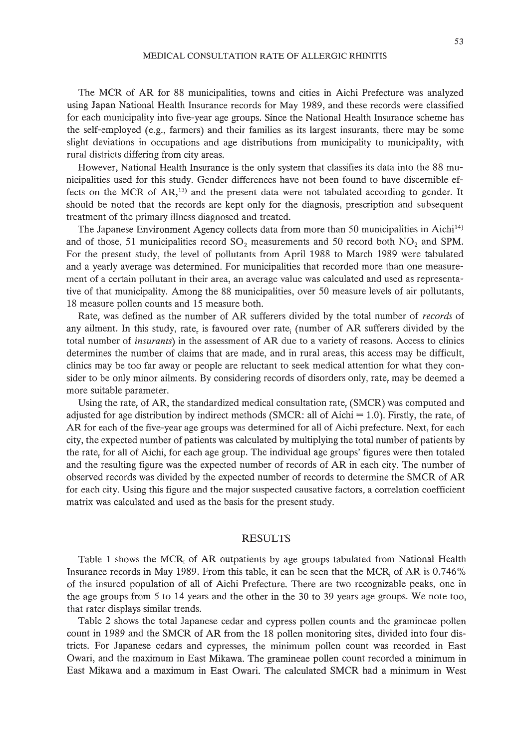The MCR of AR for 88 municipalities, towns and cities in Aichi Prefecture was analyzed using Japan National Health Insurance records for May 1989, and these records were classified for each municipality into five-year age groups. Since the National Health Insurance scheme has the self-employed (e.g., farmers) and their families as its largest insurants, there may be some slight deviations in occupations and age distributions from municipality to municipality, with rural districts differing from city areas.

However, National Health Insurance is the only system that classifies its data into the 88 municipalities used for this study. Gender differences have not been found to have discernible effects on the MCR of  $AR$ ,<sup>13)</sup> and the present data were not tabulated according to gender. It should be noted that the records are kept only for the diagnosis, prescription and subsequent treatment of the primary illness diagnosed and treated.

The Japanese Environment Agency collects data from more than 50 municipalities in Aichi<sup>14)</sup> and of those, 51 municipalities record  $SO_2$  measurements and 50 record both  $NO_2$  and SPM. For the present study, the level of pollutants from April 1988 to March 1989 were tabulated and a yearly average was determined. For municipalities that recorded more than one measurement of a certain pollutant in their area, an average value was calculated and used as representative of that municipality. Among the 88 municipalities, over 50 measure levels of air pollutants, 18 measure pollen counts and 15 measure both.

Rate<sub>r</sub> was defined as the number of AR sufferers divided by the total number of *records* of any ailment. In this study, rate, is favoured over rate, (number of AR sufferers divided by the total number of *insurants)* in the assessment of AR due to a variety of reasons. Access to clinics determines the number of claims that are made, and in rural areas, this access may be difficult, clinics may be too far away or people are reluctant to seek medical attention for what they consider to be only minor ailments. By considering records of disorders only, rate, may be deemed a more suitable parameter.

Using the rate, of  $AR$ , the standardized medical consultation rate,  $(SMCR)$  was computed and adjusted for age distribution by indirect methods (SMCR: all of Aichi =  $1.0$ ). Firstly, the rate<sub>r</sub> of AR for each of the five-year age groups was determined for all of Aichi prefecture. Next, for each city, the expected number of patients was calculated by multiplying the total number of patients by the rate, for all of Aichi, for each age group. The individual age groups' figures were then totaled and the resulting figure was the expected number of records of AR in each city. The number of observed records was divided by the expected number of records to determine the SMCR of AR for each city. Using this figure and the major suspected causative factors, a correlation coefficient matrix was calculated and used as the basis for the present study.

# RESULTS

Table 1 shows the  $MCR_i$  of AR outpatients by age groups tabulated from National Health Insurance records in May 1989. From this table, it can be seen that the MCR<sup>i</sup> of AR is 0.746% of the insured population of all of Aichi Prefecture. There are two recognizable peaks, one in the age groups from 5 to 14 years and the other in the 30 to 39 years age groups. We note too, that rater displays similar trends.

Table 2 shows the total Japanese cedar and cypress pollen counts and the gramineae pollen count in 1989 and the SMCR of AR from the 18 pollen monitoring sites, divided into four districts. For Japanese cedars and cypresses, the minimum pollen count was recorded in East Owari, and the maximum in East Mikawa. The gramineae pollen count recorded a minimum in East Mikawa and a maximum in East Owari. The calculated SMCR had a minimum in West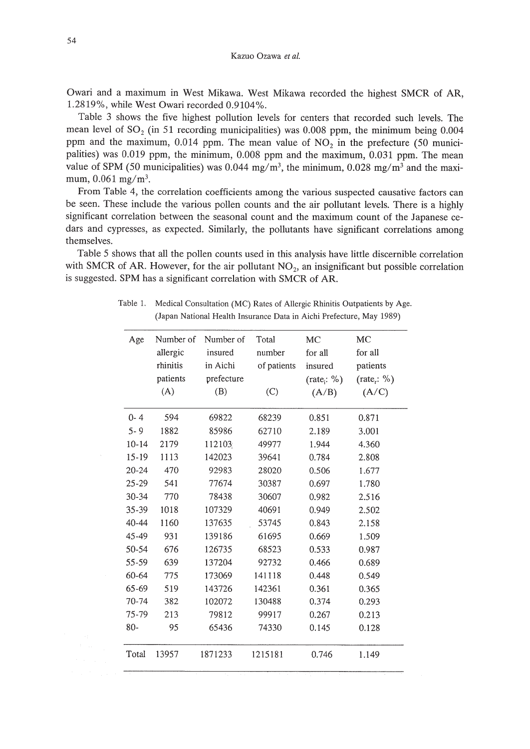Kazue Ozawa *et al.*

Owari and a maximum in West Mikawa. West Mikawa recorded the highest SMCR of AR, 1.2819%, while West Owari recorded 0.9104%.

Table 3 shows the five highest pollution levels for centers that recorded such levels. The mean level of SO<sub>2</sub> (in 51 recording municipalities) was 0.008 ppm, the minimum being 0.004 ppm and the maximum,  $0.014$  ppm. The mean value of  $NO<sub>2</sub>$  in the prefecture (50 municipalities) was 0.019 ppm, the minimum, 0.008 ppm and the maximum, 0.031 ppm. The mean value of SPM (50 municipalities) was 0.044 mg/m<sup>3</sup>, the minimum, 0.028 mg/m<sup>3</sup> and the maximum,  $0.061$  mg/m<sup>3</sup>.

From Table 4, the correlation coefficients among the various suspected causative factors can be seen. These include the various pollen counts and the air pollutant levels. There is a highly significant correlation between the seasonal count and the maximum count of the Japanese cedars and cypresses, as expected. Similarly, the pollutants have significant correlations among themselves.

Table 5 shows that all the pollen counts used in this analysis have little discernible correlation with SMCR of AR. However, for the air pollutant NO*z,* an insignificant but possible correlation is suggested. SPM has a significant correlation with SMCR of AR.

Table 1. Medical Consultation (MC) Rates of Allergic Rhinitis Outpatients by Age. (Japan National Health Insurance Data in Aichi Prefecture, May 1989)

| Age       | Number of | Number of  | Total       | MC                    | MC                     |
|-----------|-----------|------------|-------------|-----------------------|------------------------|
|           | allergic  | insured    | number      | for all               | for all                |
|           | rhinitis  | in Aichi   | of patients | insured               | patients               |
|           | patients  | prefecture |             | $(\text{rate}_i: \%)$ | $(\text{rate}_r: \% )$ |
|           | (A)       | (B)        | (C)         | (A/B)                 | (A/C)                  |
| $0 - 4$   | 594       | 69822      | 68239       | 0.851                 | 0.871                  |
| $5 - 9$   | 1882      | 85986      | 62710       | 2.189                 | 3.001                  |
| $10 - 14$ | 2179      | 112103     | 49977       | 1.944                 | 4.360                  |
| $15-19$   | 1113      | 142023     | 39641       | 0.784                 | 2.808                  |
| $20 - 24$ | 470       | 92983      | 28020       | 0.506                 | 1.677                  |
| 25-29     | 541       | 77674      | 30387       | 0.697                 | 1.780                  |
| 30-34     | 770       | 78438      | 30607       | 0.982                 | 2.516                  |
| 35-39     | 1018      | 107329     | 40691       | 0.949                 | 2.502                  |
| 40-44     | 1160      | 137635     | 53745       | 0.843                 | 2.158                  |
| 45-49     | 931       | 139186     | 61695       | 0.669                 | 1.509                  |
| 50-54     | 676       | 126735     | 68523       | 0.533                 | 0.987                  |
| 55-59     | 639       | 137204     | 92732       | 0.466                 | 0.689                  |
| 60-64     | 775       | 173069     | 141118      | 0.448                 | 0.549                  |
| 65-69     | 519       | 143726     | 142361      | 0.361                 | 0.365                  |
| 70-74     | 382       | 102072     | 130488      | 0.374                 | 0.293                  |
| 75-79     | 213       | 79812      | 99917       | 0.267                 | 0.213                  |
| 80-       | 95        | 65436      | 74330       | 0.145                 | 0.128                  |
| Total     | 13957     | 1871233    | 1215181     | 0.746                 | 1.149                  |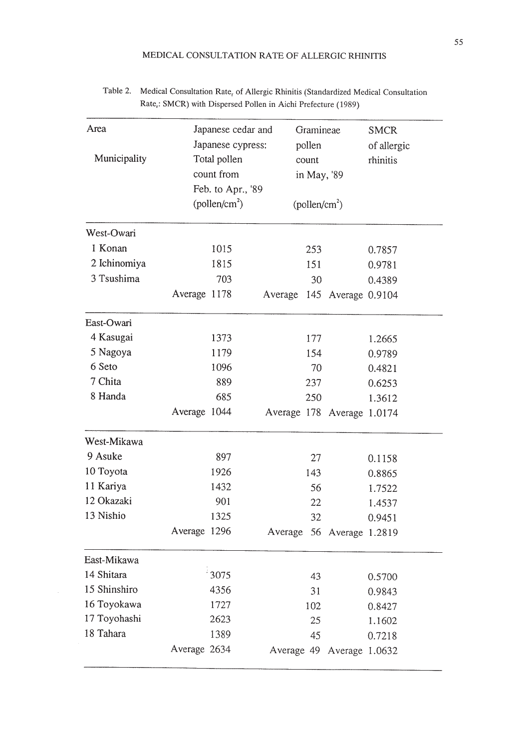| Area                | Japanese cedar and        | Gramineae                 |                | <b>SMCR</b> |  |
|---------------------|---------------------------|---------------------------|----------------|-------------|--|
|                     | Japanese cypress:         | pollen                    |                | of allergic |  |
| Municipality        | Total pollen              | count                     |                | rhinitis    |  |
|                     | count from                | in May, '89               |                |             |  |
|                     | Feb. to Apr., '89         |                           |                |             |  |
|                     | (pollen/cm <sup>2</sup> ) | (pollen/cm <sup>2</sup> ) |                |             |  |
| West-Owari          |                           |                           |                |             |  |
| 1 Konan             | 1015                      | 253                       |                | 0.7857      |  |
| 2 Ichinomiya        | 1815                      | 151                       |                | 0.9781      |  |
| 3 Tsushima          | 703                       | 30                        |                | 0.4389      |  |
|                     | Average 1178              | 145<br>Average            | Average 0.9104 |             |  |
| East-Owari          |                           |                           |                |             |  |
| 4 Kasugai           | 1373                      | 177                       |                | 1.2665      |  |
| 5 Nagoya            | 1179                      | 154                       |                | 0.9789      |  |
| 6 Seto              | 1096                      | 70                        |                | 0.4821      |  |
| 7 Chita             | 889                       | 237                       |                | 0.6253      |  |
| 8 Handa             | 685                       | 250                       |                | 1.3612      |  |
|                     | Average 1044              | Average 178               | Average 1.0174 |             |  |
| West-Mikawa         |                           |                           |                |             |  |
| 9 Asuke             | 897                       | 27                        |                | 0.1158      |  |
| 10 Toyota           | 1926                      | 143                       |                | 0.8865      |  |
| 11 Kariya           | 1432                      | 56                        |                | 1.7522      |  |
| 12 Okazaki          | 901                       | 22                        |                | 1.4537      |  |
| 13 Nishio           | 1325                      | 32                        |                | 0.9451      |  |
|                     | Average 1296              | 56<br>Average             | Average 1.2819 |             |  |
| East-Mikawa         |                           |                           |                |             |  |
| 14 Shitara          | $^\circ3075$              | 43                        |                | 0.5700      |  |
| 15 Shinshiro        | 4356                      |                           | 31             |             |  |
| 16 Toyokawa<br>1727 |                           | 102                       |                | 0.8427      |  |
| 17 Toyohashi        | 2623                      | 25                        |                | 1.1602      |  |
| 18 Tahara           | 1389                      | 45                        |                | 0.7218      |  |
|                     | Average 2634              | Average 49 Average 1.0632 |                |             |  |

# Table 2. Medical Consultation Rate<sub>r</sub> of Allergic Rhinitis (Standardized Medical Consultation Rate<sub>r</sub>: SMCR) with Dispersed Pollen in Aichi Prefecture (1989)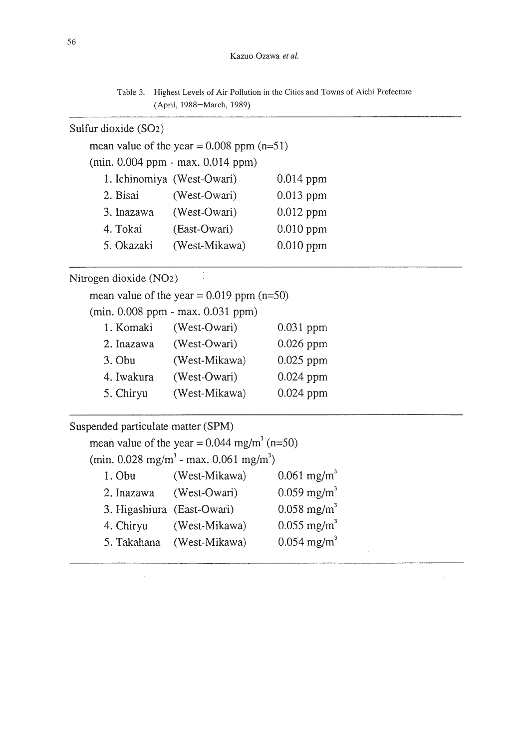Table 3. Highest Levels of Air Pollution in the Cities and Towns of Aichi Prefecture (April, 1988-March, 1989)

# Sulfur dioxide (S02)

mean value of the year  $= 0.008$  ppm (n=51)

(min. 0.004 ppm - max. 0.014 ppm)

|            | 1. Ichinomiya (West-Owari) | $0.014$ ppm |
|------------|----------------------------|-------------|
| 2. Bisai   | (West-Owari)               | $0.013$ ppm |
| 3. Inazawa | (West-Owari)               | $0.012$ ppm |
| 4. Tokai   | (East-Owari)               | $0.010$ ppm |
| 5. Okazaki | (West-Mikawa)              | $0.010$ ppm |

Nitrogen dioxide (N02)

mean value of the year =  $0.019$  ppm (n=50)

÷

(min. 0.008 ppm - max. 0.031 ppm)

| 1. Komaki  | (West-Owari)  | $0.031$ ppm |
|------------|---------------|-------------|
| 2. Inazawa | (West-Owari)  | $0.026$ ppm |
| 3. Obu     | (West-Mikawa) | $0.025$ ppm |
| 4. Iwakura | (West-Owari)  | $0.024$ ppm |
| 5. Chiryu  | (West-Mikawa) | $0.024$ ppm |

Suspended particulate matter (SPM) mean value of the year =  $0.044$  mg/m<sup>3</sup> (n=50) (min.  $0.028 \text{ mg/m}^3$  - max.  $0.061 \text{ mg/m}^3$ ) 1. Obu (West-Mikawa) 0.061 *mgjm3* 2. Inazawa (West-Owari)  $0.059 \text{ mg/m}^3$ 3. Higashiura (East-Owari) 0.058 mg/m<sup>3</sup> 4. Chiryu (West-Mikawa) 0.055 mg/m<sup>3</sup> 5. Takahana (West-Mikawa) 0.054 mg/m<sup>3</sup>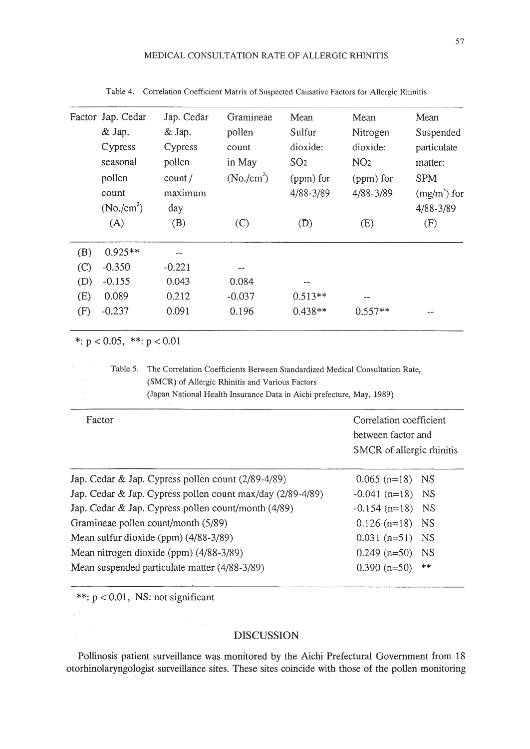|                                                            | Factor Jap. Cedar              | Jap. Cedar                                                                                                                                                                                               | Gramineae               | Mean            | Mean               | Mean                      |
|------------------------------------------------------------|--------------------------------|----------------------------------------------------------------------------------------------------------------------------------------------------------------------------------------------------------|-------------------------|-----------------|--------------------|---------------------------|
|                                                            | & Jap.                         | & Jap.                                                                                                                                                                                                   | pollen                  | Sulfur          | Nitrogen           | Suspended                 |
|                                                            | Cypress                        | Cypress                                                                                                                                                                                                  | count                   | dioxide:        | dioxide:           | particulate               |
|                                                            | seasonal                       | pollen                                                                                                                                                                                                   | in May                  | SO <sub>2</sub> | NO <sub>2</sub>    | matter:                   |
|                                                            | pollen                         | count/                                                                                                                                                                                                   | (No./cm <sup>2</sup> )  | (ppm) for       | (ppm) for          | <b>SPM</b>                |
|                                                            | count                          | maximum                                                                                                                                                                                                  |                         | 4/88-3/89       | 4/88-3/89          | $(mg/m3)$ for             |
|                                                            | $(No./cm^2)$                   | day                                                                                                                                                                                                      |                         |                 |                    | 4/88-3/89                 |
|                                                            | (A)                            | (B)                                                                                                                                                                                                      | (C)                     | (D)             | (E)                | (F)                       |
| (B)                                                        | $0.925**$                      |                                                                                                                                                                                                          |                         |                 |                    |                           |
| (C)                                                        | $-0.350$                       | $-0.221$                                                                                                                                                                                                 |                         |                 |                    |                           |
| (D)                                                        | $-0.155$                       | 0.043                                                                                                                                                                                                    | 0.084                   |                 |                    |                           |
| (E)                                                        | 0.089                          | 0.212                                                                                                                                                                                                    | $-0.037$                | $0.513**$       |                    |                           |
| (F)                                                        | $-0.237$                       | 0.091                                                                                                                                                                                                    | 0.196                   | $0.438**$       | $0.557**$          |                           |
|                                                            | *: $p < 0.05$ , **: $p < 0.01$ |                                                                                                                                                                                                          |                         |                 |                    |                           |
|                                                            | Table 5.                       | The Correlation Coefficients Between Standardized Medical Consultation Rate,<br>(SMCR) of Allergic Rhinitis and Various Factors<br>(Japan National Health Insurance Data in Aichi prefecture, May, 1989) |                         |                 |                    |                           |
| Factor                                                     |                                |                                                                                                                                                                                                          | Correlation coefficient |                 |                    |                           |
|                                                            |                                |                                                                                                                                                                                                          |                         |                 | between factor and |                           |
|                                                            |                                |                                                                                                                                                                                                          |                         |                 |                    | SMCR of allergic rhinitis |
|                                                            |                                | Jap. Cedar & Jap. Cypress pollen count (2/89-4/89)                                                                                                                                                       |                         |                 | $0.065$ (n=18)     | <b>NS</b>                 |
| Jap. Cedar & Jap. Cypress pollen count max/day (2/89-4/89) |                                |                                                                                                                                                                                                          |                         | $-0.041$ (n=18) | <b>NS</b>          |                           |
| Jap. Cedar & Jap. Cypress pollen count/month (4/89)        |                                |                                                                                                                                                                                                          |                         | $-0.154$ (n=18) | <b>NS</b>          |                           |
| Gramineae pollen count/month (5/89)                        |                                |                                                                                                                                                                                                          |                         | $0.126$ (n=18)  | <b>NS</b>          |                           |
| Mean sulfur dioxide (ppm) (4/88-3/89)                      |                                |                                                                                                                                                                                                          |                         | $0.031$ (n=51)  | <b>NS</b>          |                           |
| Mean nitrogen dioxide (ppm) (4/88-3/89)                    |                                |                                                                                                                                                                                                          |                         | $0.249$ (n=50)  | <b>NS</b>          |                           |
| Mean suspended particulate matter (4/88-3/89)              |                                |                                                                                                                                                                                                          |                         |                 | $0.390$ (n=50)     | **                        |

Table 4. Correlation Coefficient Matrix of Suspected Causative Factors for Allergic Rhinitis

\*\*: p < 0.01, NS: not significant

## DISCUSSION

Pollinosis patient surveillance was monitored by the Aichi Prefectural Government from 18 otorhinolaryngologist surveillance sites. These sites coincide with those of the pollen monitoring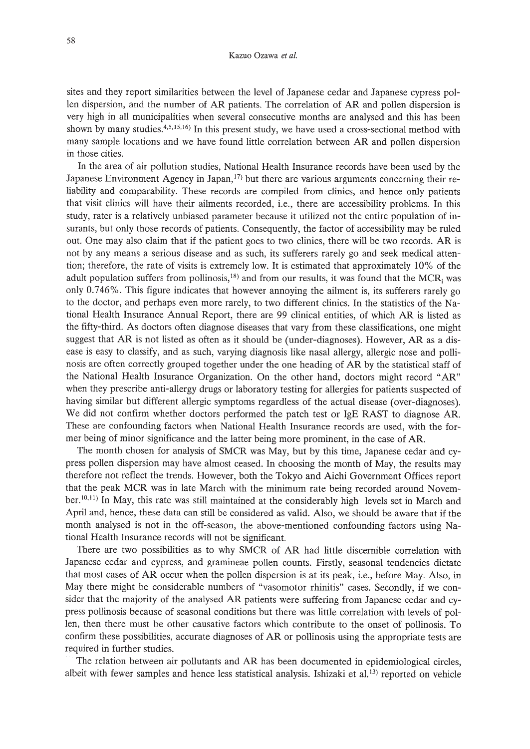sites and they report similarities between the level of Japanese cedar and Japanese cypress pollen dispersion, and the number of AR patients. The correlation of AR and pollen dispersion is very high in all municipalities when several consecutive months are analysed and this has been shown by many studies.4,5,15,16) **In** this present study, we have used a cross-sectional method with many sample locations and we have found little correlation between AR and pollen dispersion in those cities.

**In** the area of air pollution studies, National Health Insurance records have been used by the Japanese Environment Agency in Japan, $17$  but there are various arguments concerning their reliability and comparability. These records are compiled from clinics, and hence only patients that visit clinics will have their ailments recorded, Le., there are accessibility problems. **In** this study, rater is a relatively unbiased parameter because it utilized not the entire population of insurants, but only those records of patients. Consequently, the factor of accessibility may be ruled out. One may also claim that if the patient goes to two clinics, there will be two records. AR is not by any means a serious disease and as such, its sufferers rarely go and seek medical attention; therefore, the rate of visits is extremely low. It is estimated that approximately 10% of the adult population suffers from pollinosis, $18$ ) and from our results, it was found that the MCR<sub>i</sub> was only 0.746%. This figure indicates that however annoying the ailment is, its sufferers rarely go to the doctor, and perhaps even more rarely, to two different clinics. **In** the statistics of the National Health Insurance Annual Report, there are 99 clinical entities, of which AR is listed as the fifty-third. As doctors often diagnose diseases that vary from these classifications, one might suggest that AR is not listed as often as it should be (under-diagnoses). However, AR as a disease is easy to classify, and as such, varying diagnosis like nasal allergy, allergic nose and pollinosis are often correctly grouped together under the one heading of AR by the statistical staff of the National Health Insurance Organization. On the other hand, doctors might record "AR" when they prescribe anti-allergy drugs or laboratory testing for allergies for patients suspected of having similar but different allergic symptoms regardless of the actual disease (over-diagnoses). We did not confirm whether doctors performed the patch test or IgE RAST to diagnose AR. These are confounding factors when National Health Insurance records are used, with the former being of minor significance and the latter being more prominent, in the case of AR.

The month chosen for analysis of SMCR was May, but by this time, Japanese cedar and cypress pollen dispersion may have almost ceased. **In** choosing the month of May, the results may therefore not reflect the trends. However, both the Tokyo and Aichi Government Offices report that the peak MCR was in late March with the minimum rate being recorded around November.<sup>10,11</sup>) In May, this rate was still maintained at the considerably high levels set in March and April and, hence, these data can still be considered as valid. Also, we should be aware that if the month analysed is not in the off-season, the above-mentioned confounding factors using National Health Insurance records will not be significant.

There are two possibilities as to why SMCR of AR had little discernible correlation with Japanese cedar and cypress, and gramineae pollen counts. Firstly, seasonal tendencies dictate that most cases of AR occur when the pollen dispersion is at its peak, i.e., before May. Also, in May there might be considerable numbers of "vasomotor rhinitis" cases. Secondly, if we consider that the majority of the analysed AR patients were suffering from Japanese cedar and cypress pollinosis because of seasonal conditions but there was little correlation with levels of pollen, then there must be other causative factors which contribute to the onset of pollinosis. To confirm these possibilities, accurate diagnoses of AR or pollinosis using the appropriate tests are required in further studies.

The relation between air pollutants and AR has been documented in epidemiological circles, albeit with fewer samples and hence less statistical analysis. Ishizaki et al.<sup>13</sup> reported on vehicle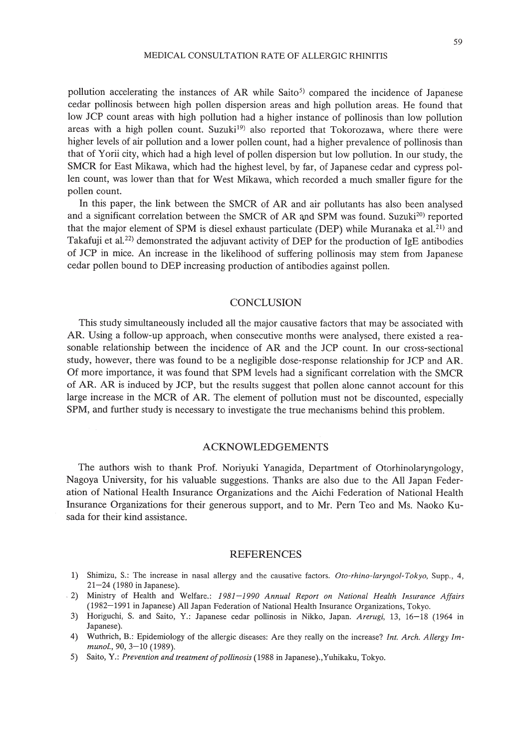#### MEDICAL CONSULTATION RATE OF ALLERGIC RHINITIS

pollution accelerating the instances of AR while Saito<sup>5</sup> compared the incidence of Japanese cedar pollinosis between high pollen dispersion areas and high pollution areas. He found that low JCP count areas with high pollution had a higher instance of pollinosis than low pollution areas with a high pollen count. Suzuki<sup>19</sup> also reported that Tokorozawa, where there were higher levels of air pollution and a lower pollen count, had a higher prevalence of pollinosis than that of Yorii city, which had a high level of pollen dispersion but low pollution. In our study, the SMCR for East Mikawa, which had the highest level, by far, of Japanese cedar and cypress pollen count, was lower than that for West Mikawa, which recorded a much smaller figure for the pollen count.

In this paper, the link between the SMCR of AR and air pollutants has also been analysed and a significant correlation between the SMCR of AR and SPM was found. Suzuki<sup>20</sup>) reported that the major element of SPM is diesel exhaust particulate (DEP) while Muranaka et al.<sup>21</sup>) and Takafuji et al.<sup>22</sup>) demonstrated the adjuvant activity of DEP for the production of IgE antibodies of JCP in mice. An increase in the likelihood of suffering pollinosis may stem from Japanese cedar pollen bound to DEP increasing production of antibodies against pollen.

### **CONCLUSION**

This study simultaneously included all the major causative factors that may be associated with AR. Using a follow-up approach, when consecutive months were analysed, there existed a reasonable relationship between the incidence of AR and the JCP count. In our cross-sectional study, however, there was found to be a negligible dose-response relationship for JCP and AR. Of more importance, it was found that SPM levels had a significant correlation with the SMCR of AR. AR is induced by JCP, but the results suggest that pollen alone cannot account for this large increase in the MCR of AR. The element of pollution must not be discounted, especially SPM, and further study is necessary to investigate the true mechanisms behind this problem.

#### ACKNOWLEDGEMENTS

The authors wish to thank Prof. Noriyuki Yanagida, Department of Otorhinolaryngology, Nagoya University, for his valuable suggestions. Thanks are also due to the All Japan Federation of National Health Insurance Organizations and the Aichi Federation of National Health Insurance Organizations for their generous support, and to Mr. Pern Teo and Ms. Naoko Kusada for their kind assistance.

#### REFERENCES

- 1) Shimizu, *S.:* The increase in nasal allergy and the causative factors. *Oto-rhino-Iaryngol- Tokyo,* Supp., 4, 21-24 (1980 in Japanese).
- . 2) Ministry of Health and Welfare.: *1981-1990 Annual Report on National Health Insurance Affairs* (1982-1991 in Japanese) All Japan Federation of National Health Insurance Organizations, Tokyo.
- 3) Horiguchi, S. and Saito, Y: Japanese cedar pollinosis in Nikko, Japan. *Arerugi,* 13, 16-18 (1964 in Japanese).
- 4) Wuthrich, 8.: Epidemiology of the allergic diseases: Are they really on the increase? *Int. Arch. Allergy 1mmunol.,* 90, 3-10 (1989).
- 5) Saito, Y.: *Prevention and treatment ofpollinosis* (1988 in Japanese).,Yuhikaku, Tokyo.